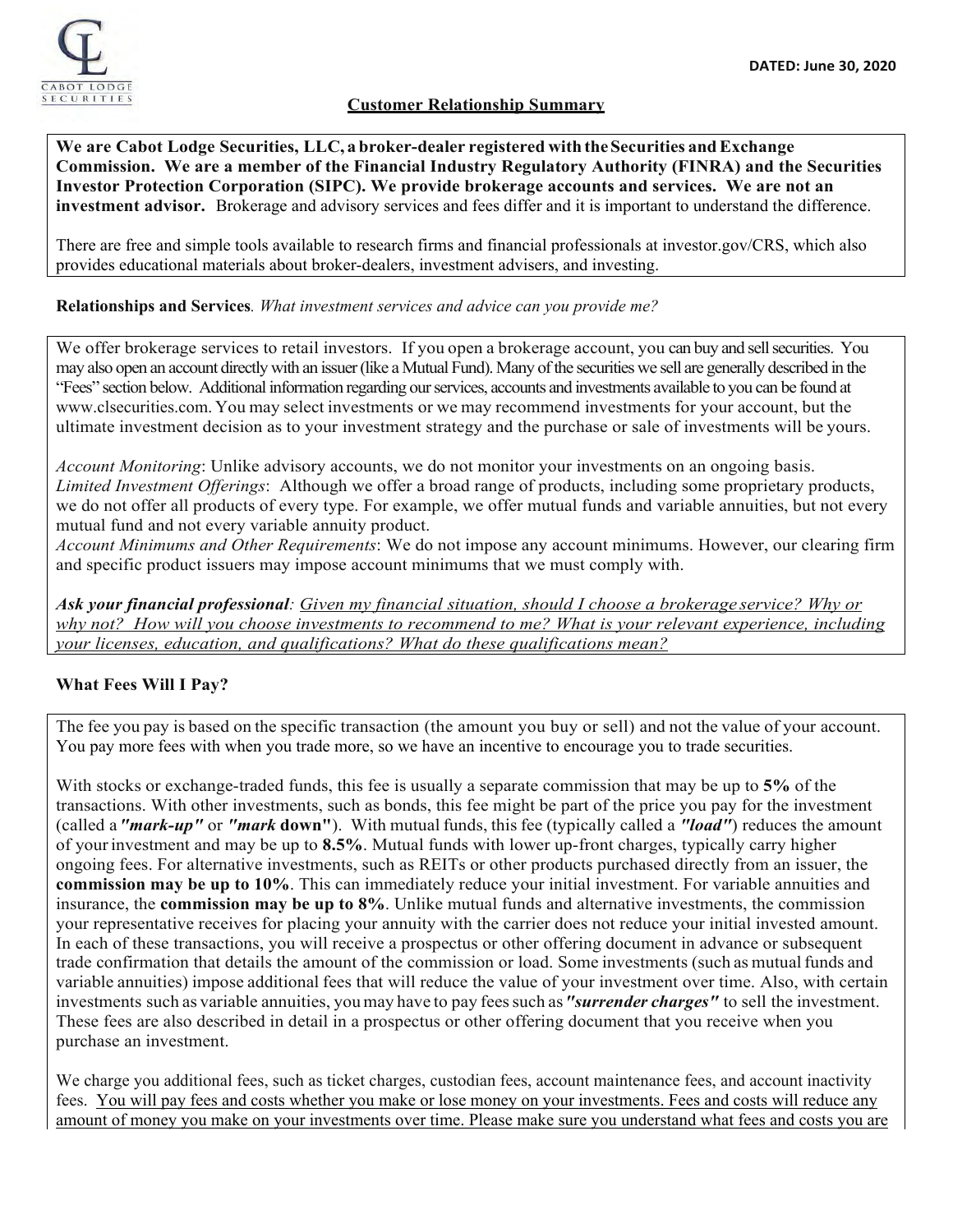

## **Customer Relationship Summary**

**We are Cabot Lodge Securities, LLC, a broker-dealer registered withtheSecurities andExchange Commission. We are a member of the Financial Industry Regulatory Authority (FINRA) and the Securities Investor Protection Corporation (SIPC). We provide brokerage accounts and services. We are not an investment advisor.** Brokerage and advisory services and fees differ and it is important to understand the difference.

There are free and simple tools available to research firms and financial professionals at investor.gov/CRS, which also provides educational materials about broker-dealers, investment advisers, and investing.

#### **Relationships and Services***. What investment services and advice can you provide me?*

We offer brokerage services to retail investors. If you open a brokerage account, you can buy and sell securities. You may also open an account directly with an issuer (like a Mutual Fund). Many of the securities we sell are generally described in the "Fees" section below. Additional information regarding our services, accounts and investments available to you can be found at www.clsecurities.com. You may select investments or we may recommend investments for your account, but the ultimate investment decision as to your investment strategy and the purchase or sale of investments will be yours.

*Account Monitoring*: Unlike advisory accounts, we do not monitor your investments on an ongoing basis. *Limited Investment Offerings*: Although we offer a broad range of products, including some proprietary products, we do not offer all products of every type. For example, we offer mutual funds and variable annuities, but not every mutual fund and not every variable annuity product.

*Account Minimums and Other Requirements*: We do not impose any account minimums. However, our clearing firm and specific product issuers may impose account minimums that we must comply with.

*Ask your financial professional: Given my financial situation, should I choose a brokerage service? Why or why not? How will you choose investments to recommend to me? What is your relevant experience, including your licenses, education, and qualifications? What do these qualifications mean?*

## **What Fees Will I Pay?**

The fee you pay is based on the specific transaction (the amount you buy or sell) and not the value of your account. You pay more fees with when you trade more, so we have an incentive to encourage you to trade securities.

With stocks or exchange-traded funds, this fee is usually a separate commission that may be up to **5%** of the transactions. With other investments, such as bonds, this fee might be part of the price you pay for the investment (called a*"mark-up"* or *"mark* **down"**). With mutual funds, this fee (typically called a *"load"*) reduces the amount of yourinvestment and may be up to **8.5%**. Mutual funds with lower up-front charges, typically carry higher ongoing fees. For alternative investments, such as REITs or other products purchased directly from an issuer, the **commission may be up to 10%**. This can immediately reduce your initial investment. For variable annuities and insurance, the **commission may be up to 8%**. Unlike mutual funds and alternative investments, the commission your representative receives for placing your annuity with the carrier does not reduce your initial invested amount. In each of these transactions, you will receive a prospectus or other offering document in advance or subsequent trade confirmation that details the amount of the commission or load. Some investments (such as mutualfunds and variable annuities) impose additional fees that will reduce the value of your investment over time. Also, with certain investments such as variable annuities, youmay have to pay feessuch as*"surrender charges"* to sell the investment. These fees are also described in detail in a prospectus or other offering document that you receive when you purchase an investment.

We charge you additional fees, such as ticket charges, custodian fees, account maintenance fees, and account inactivity fees. You will pay fees and costs whether you make or lose money on your investments. Fees and costs will reduce any amount of money you make on your investments over time. Please make sure you understand what fees and costs you are